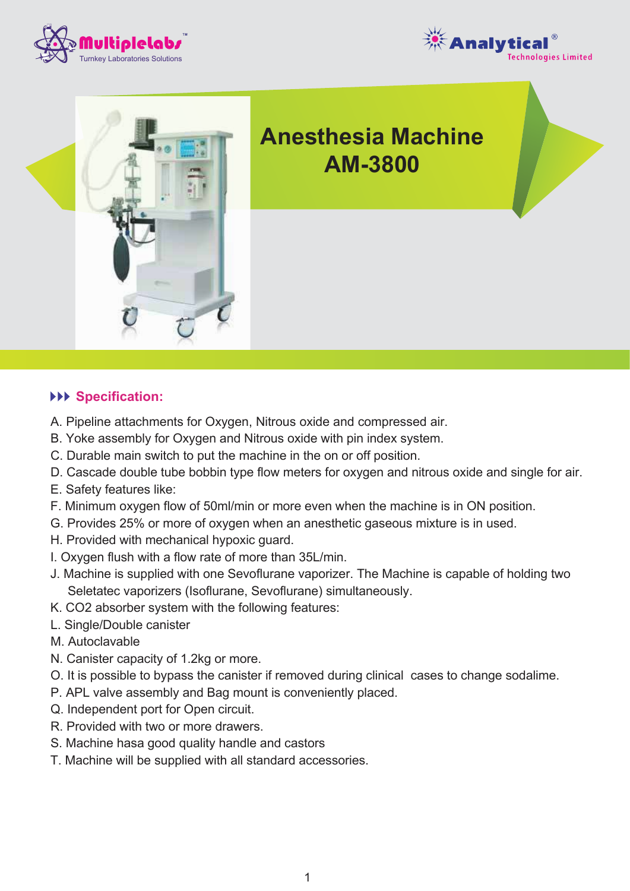





# **Anesthesia Machine AM-3800**

### **Specification:**

- A. Pipeline attachments for Oxygen, Nitrous oxide and compressed air.
- B. Yoke assembly for Oxygen and Nitrous oxide with pin index system.
- C. Durable main switch to put the machine in the on or off position.
- D. Cascade double tube bobbin type flow meters for oxygen and nitrous oxide and single for air.
- E. Safety features like:
- F. Minimum oxygen flow of 50ml/min or more even when the machine is in ON position.
- G. Provides 25% or more of oxygen when an anesthetic gaseous mixture is in used.
- H. Provided with mechanical hypoxic guard.
- I. Oxygen flush with a flow rate of more than 35L/min.
- J. Machine is supplied with one Sevoflurane vaporizer. The Machine is capable of holding two Seletatec vaporizers (Isoflurane, Sevoflurane) simultaneously.
- K. CO2 absorber system with the following features:
- L. Single/Double canister
- M. Autoclavable
- N. Canister capacity of 1.2kg or more.
- O. It is possible to bypass the canister if removed during clinical cases to change sodalime.
- P. APL valve assembly and Bag mount is conveniently placed.
- Q. Independent port for Open circuit.
- R. Provided with two or more drawers.
- S. Machine hasa good quality handle and castors
- T. Machine will be supplied with all standard accessories.